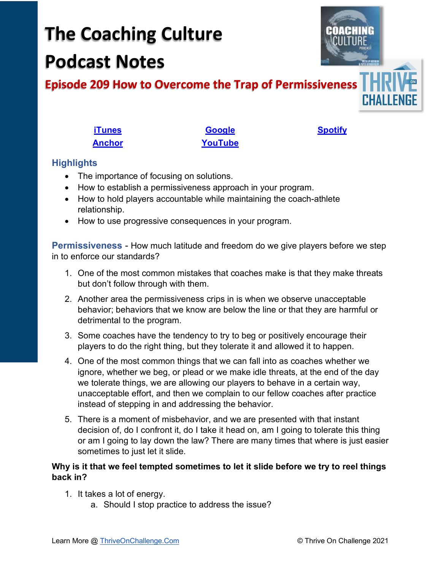# **The Coaching Culture Podcast Notes**



## **Episode 209 How to Overcome the Trap of Permissiveness**

**[iTunes](https://tinyurl.com/y68cvd4x) [Google](https://tinyurl.com/xhduf9bw) [Spotify](https://tinyurl.com/3sf9cp5h) [Anchor](https://tinyurl.com/4yhexz6d) [YouTube](https://www.youtube.com/channel/UC3vIljCBzwHcPyVIx9kiHvw)**

### **Highlights**

- The importance of focusing on solutions.
- How to establish a permissiveness approach in your program.
- How to hold players accountable while maintaining the coach-athlete relationship.
- How to use progressive consequences in your program.

**Permissiveness** - How much latitude and freedom do we give players before we step in to enforce our standards?

- 1. One of the most common mistakes that coaches make is that they make threats but don't follow through with them.
- 2. Another area the permissiveness crips in is when we observe unacceptable behavior; behaviors that we know are below the line or that they are harmful or detrimental to the program.
- 3. Some coaches have the tendency to try to beg or positively encourage their players to do the right thing, but they tolerate it and allowed it to happen.
- 4. One of the most common things that we can fall into as coaches whether we ignore, whether we beg, or plead or we make idle threats, at the end of the day we tolerate things, we are allowing our players to behave in a certain way, unacceptable effort, and then we complain to our fellow coaches after practice instead of stepping in and addressing the behavior.
- 5. There is a moment of misbehavior, and we are presented with that instant decision of, do I confront it, do I take it head on, am I going to tolerate this thing or am I going to lay down the law? There are many times that where is just easier sometimes to just let it slide.

#### **Why is it that we feel tempted sometimes to let it slide before we try to reel things back in?**

- 1. It takes a lot of energy.
	- a. Should I stop practice to address the issue?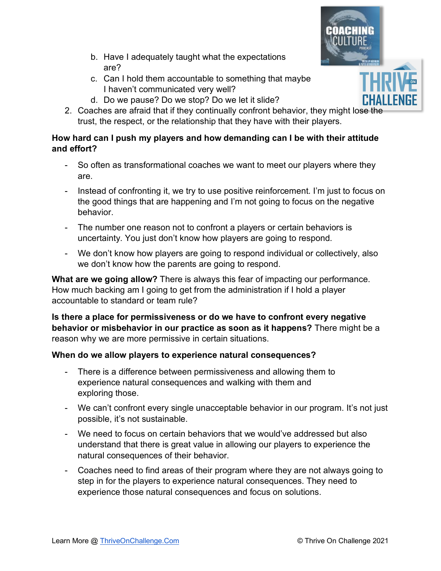- 
- b. Have I adequately taught what the expectations are?
- c. Can I hold them accountable to something that maybe I haven't communicated very well?
- d. Do we pause? Do we stop? Do we let it slide?
- 2. Coaches are afraid that if they continually confront behavior, they might lose the trust, the respect, or the relationship that they have with their players.

## **How hard can I push my players and how demanding can I be with their attitude and effort?**

- So often as transformational coaches we want to meet our players where they are.
- Instead of confronting it, we try to use positive reinforcement. I'm just to focus on the good things that are happening and I'm not going to focus on the negative behavior.
- The number one reason not to confront a players or certain behaviors is uncertainty. You just don't know how players are going to respond.
- We don't know how players are going to respond individual or collectively, also we don't know how the parents are going to respond.

**What are we going allow?** There is always this fear of impacting our performance. How much backing am I going to get from the administration if I hold a player accountable to standard or team rule?

**Is there a place for permissiveness or do we have to confront every negative behavior or misbehavior in our practice as soon as it happens?** There might be a reason why we are more permissive in certain situations.

## **When do we allow players to experience natural consequences?**

- There is a difference between permissiveness and allowing them to experience natural consequences and walking with them and exploring those.
- We can't confront every single unacceptable behavior in our program. It's not just possible, it's not sustainable.
- We need to focus on certain behaviors that we would've addressed but also understand that there is great value in allowing our players to experience the natural consequences of their behavior.
- Coaches need to find areas of their program where they are not always going to step in for the players to experience natural consequences. They need to experience those natural consequences and focus on solutions.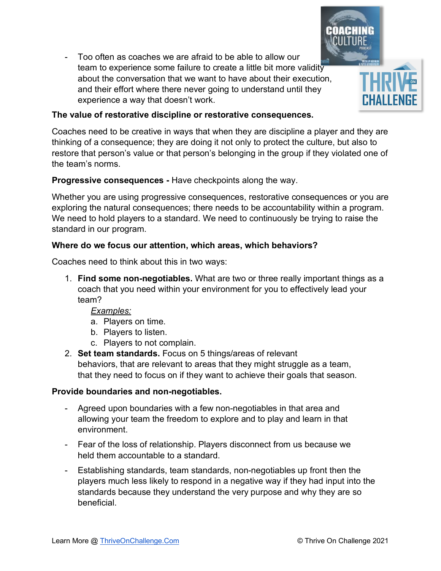- Too often as coaches we are afraid to be able to allow our team to experience some failure to create a little bit more validity about the conversation that we want to have about their execution, and their effort where there never going to understand until they experience a way that doesn't work.

#### **The value of restorative discipline or restorative consequences.**

Coaches need to be creative in ways that when they are discipline a player and they are thinking of a consequence; they are doing it not only to protect the culture, but also to restore that person's value or that person's belonging in the group if they violated one of the team's norms.

#### **Progressive consequences -** Have checkpoints along the way.

Whether you are using progressive consequences, restorative consequences or you are exploring the natural consequences; there needs to be accountability within a program. We need to hold players to a standard. We need to continuously be trying to raise the standard in our program.

#### **Where do we focus our attention, which areas, which behaviors?**

Coaches need to think about this in two ways:

1. **Find some non-negotiables.** What are two or three really important things as a coach that you need within your environment for you to effectively lead your team?

#### *Examples:*

- a. Players on time.
- b. Players to listen.
- c. Players to not complain.
- 2. **Set team standards.** Focus on 5 things/areas of relevant behaviors, that are relevant to areas that they might struggle as a team, that they need to focus on if they want to achieve their goals that season.

#### **Provide boundaries and non-negotiables.**

- Agreed upon boundaries with a few non-negotiables in that area and allowing your team the freedom to explore and to play and learn in that environment.
- Fear of the loss of relationship. Players disconnect from us because we held them accountable to a standard.
- Establishing standards, team standards, non-negotiables up front then the players much less likely to respond in a negative way if they had input into the standards because they understand the very purpose and why they are so beneficial.